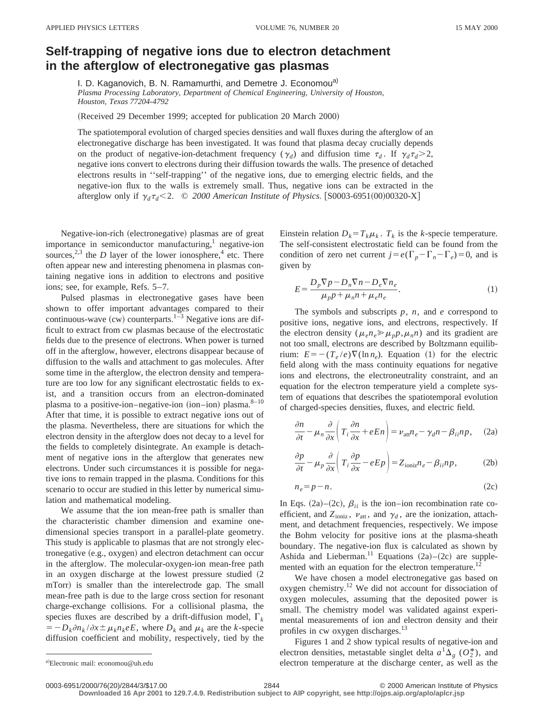## **Self-trapping of negative ions due to electron detachment in the afterglow of electronegative gas plasmas**

I. D. Kaganovich, B. N. Ramamurthi, and Demetre J. Economou<sup>a)</sup> *Plasma Processing Laboratory, Department of Chemical Engineering, University of Houston, Houston, Texas 77204-4792*

(Received 29 December 1999; accepted for publication 20 March 2000)

The spatiotemporal evolution of charged species densities and wall fluxes during the afterglow of an electronegative discharge has been investigated. It was found that plasma decay crucially depends on the product of negative-ion-detachment frequency ( $\gamma_d$ ) and diffusion time  $\tau_d$ . If  $\gamma_d \tau_d > 2$ , negative ions convert to electrons during their diffusion towards the walls. The presence of detached electrons results in ''self-trapping'' of the negative ions, due to emerging electric fields, and the negative-ion flux to the walls is extremely small. Thus, negative ions can be extracted in the afterglow only if  $\gamma_d \tau_d < 2.$  © 2000 American Institute of Physics. [S0003-6951(00)00320-X]

Negative-ion-rich (electronegative) plasmas are of great importance in semiconductor manufacturing, $<sup>1</sup>$  negative-ion</sup> sources,<sup>2,3</sup> the *D* layer of the lower ionosphere,<sup>4</sup> etc. There often appear new and interesting phenomena in plasmas containing negative ions in addition to electrons and positive ions; see, for example, Refs. 5–7.

Pulsed plasmas in electronegative gases have been shown to offer important advantages compared to their continuous-wave (cw) counterparts.<sup>1–3</sup> Negative ions are difficult to extract from cw plasmas because of the electrostatic fields due to the presence of electrons. When power is turned off in the afterglow, however, electrons disappear because of diffusion to the walls and attachment to gas molecules. After some time in the afterglow, the electron density and temperature are too low for any significant electrostatic fields to exist, and a transition occurs from an electron-dominated plasma to a positive-ion–negative-ion (ion–ion) plasma. $8-10$ After that time, it is possible to extract negative ions out of the plasma. Nevertheless, there are situations for which the electron density in the afterglow does not decay to a level for the fields to completely disintegrate. An example is detachment of negative ions in the afterglow that generates new electrons. Under such circumstances it is possible for negative ions to remain trapped in the plasma. Conditions for this scenario to occur are studied in this letter by numerical simulation and mathematical modeling.

We assume that the ion mean-free path is smaller than the characteristic chamber dimension and examine onedimensional species transport in a parallel-plate geometry. This study is applicable to plasmas that are not strongly electronegative (e.g., oxygen) and electron detachment can occur in the afterglow. The molecular-oxygen-ion mean-free path in an oxygen discharge at the lowest pressure studied  $(2)$ mTorr) is smaller than the interelectrode gap. The small mean-free path is due to the large cross section for resonant charge-exchange collisions. For a collisional plasma, the species fluxes are described by a drift-diffusion model,  $\Gamma_k$  $=$   $-D_k \partial n_k / \partial x \pm \mu_k n_k eE$ , where  $D_k$  and  $\mu_k$  are the *k*-specie diffusion coefficient and mobility, respectively, tied by the Einstein relation  $D_k = T_k \mu_k$ .  $T_k$  is the *k*-specie temperature. The self-consistent electrostatic field can be found from the condition of zero net current  $j = e(\Gamma_p - \Gamma_n - \Gamma_e) = 0$ , and is given by

$$
E = \frac{D_p \nabla p - D_n \nabla n - D_e \nabla n_e}{\mu_p p + \mu_n n + \mu_e n_e}.
$$
\n(1)

The symbols and subscripts *p*, *n*, and *e* correspond to positive ions, negative ions, and electrons, respectively. If the electron density ( $\mu_e n_e \ge \mu_p p, \mu_n n$ ) and its gradient are not too small, electrons are described by Boltzmann equilibrium:  $E = -(T_e/e)\nabla(\ln n_e)$ . Equation (1) for the electric field along with the mass continuity equations for negative ions and electrons, the electroneutrality constraint, and an equation for the electron temperature yield a complete system of equations that describes the spatiotemporal evolution of charged-species densities, fluxes, and electric field.

$$
\frac{\partial n}{\partial t} - \mu_n \frac{\partial}{\partial x} \left( T_i \frac{\partial n}{\partial x} + eEn \right) = \nu_{\text{att}} n_e - \gamma_d n - \beta_{ii} n_p, \quad (2a)
$$

$$
\frac{\partial p}{\partial t} - \mu_p \frac{\partial}{\partial x} \left( T_i \frac{\partial p}{\partial x} - eE p \right) = Z_{\text{ioniz}} n_e - \beta_{ii} n p, \tag{2b}
$$

$$
n_e = p - n. \tag{2c}
$$

In Eqs.  $(2a)$ – $(2c)$ ,  $\beta_{ii}$  is the ion–ion recombination rate coefficient, and  $Z_{\text{ioniz}}$ ,  $\nu_{\text{att}}$ , and  $\gamma_d$ , are the ionization, attachment, and detachment frequencies, respectively. We impose the Bohm velocity for positive ions at the plasma-sheath boundary. The negative-ion flux is calculated as shown by Ashida and Lieberman.<sup>11</sup> Equations  $(2a)$ – $(2c)$  are supplemented with an equation for the electron temperature.<sup>12</sup>

We have chosen a model electronegative gas based on oxygen chemistry.<sup>12</sup> We did not account for dissociation of oxygen molecules, assuming that the deposited power is small. The chemistry model was validated against experimental measurements of ion and electron density and their profiles in cw oxygen discharges.<sup>13</sup>

Figures 1 and 2 show typical results of negative-ion and electron densities, metastable singlet delta  $a^1\Delta_g$  ( $O_2^*$ ), and electron temperature at the discharge center, as well as the

**Downloaded 16 Apr 2001 to 129.7.4.9. Redistribution subject to AIP copyright, see http://ojps.aip.org/aplo/aplcr.jsp**

a)Electronic mail: economou@uh.edu

<sup>0003-6951/2000/76(20)/2844/3/\$17.00 © 2000</sup> American Institute of Physics 2844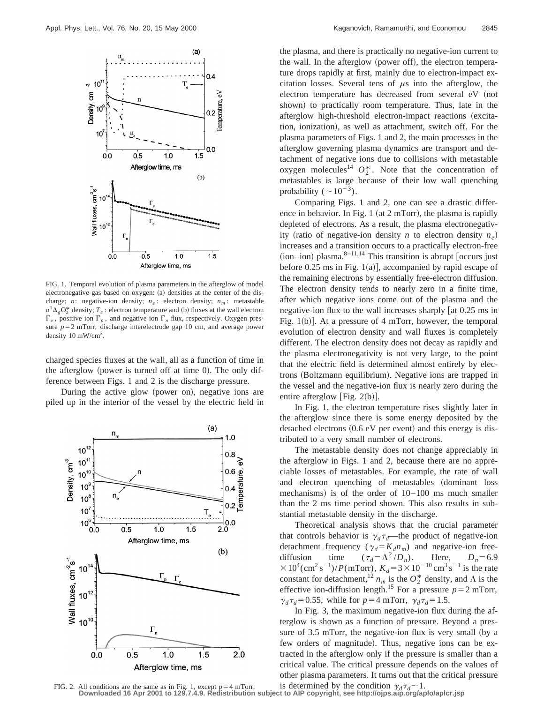

FIG. 1. Temporal evolution of plasma parameters in the afterglow of model electronegative gas based on oxygen: (a) densities at the center of the discharge; *n*: negative-ion density;  $n_e$ : electron density;  $n_m$ : metastable  $a^1\Delta_g O_2^*$  density;  $T_e$ : electron temperature and (b) fluxes at the wall electron  $\Gamma_e$ , positive ion  $\Gamma_p$ , and negative ion  $\Gamma_n$  flux, respectively. Oxygen pressure  $p=2$  mTorr, discharge interelectrode gap 10 cm, and average power density 10 mW/cm<sup>3</sup>.

charged species fluxes at the wall, all as a function of time in the afterglow (power is turned off at time  $0$ ). The only difference between Figs. 1 and 2 is the discharge pressure.

During the active glow (power on), negative ions are piled up in the interior of the vessel by the electric field in



the plasma, and there is practically no negative-ion current to the wall. In the afterglow (power off), the electron temperature drops rapidly at first, mainly due to electron-impact excitation losses. Several tens of  $\mu$ s into the afterglow, the electron temperature has decreased from several eV (not shown) to practically room temperature. Thus, late in the afterglow high-threshold electron-impact reactions (excitation, ionization), as well as attachment, switch off. For the plasma parameters of Figs. 1 and 2, the main processes in the afterglow governing plasma dynamics are transport and detachment of negative ions due to collisions with metastable oxygen molecules<sup>14</sup>  $O_2^*$ . Note that the concentration of metastables is large because of their low wall quenching probability ( $\sim$ 10<sup>-3</sup>).

Comparing Figs. 1 and 2, one can see a drastic difference in behavior. In Fig. 1 (at  $2 mTorr$ ), the plasma is rapidly depleted of electrons. As a result, the plasma electronegativity (ratio of negative-ion density *n* to electron density  $n_e$ ) increases and a transition occurs to a practically electron-free  $(ion–ion)$  plasma.<sup>8–11,14</sup> This transition is abrupt  $\int$  occurs just before  $0.25 \text{ ms}$  in Fig. 1(a)], accompanied by rapid escape of the remaining electrons by essentially free-electron diffusion. The electron density tends to nearly zero in a finite time, after which negative ions come out of the plasma and the negative-ion flux to the wall increases sharply  $\lceil \cot 0.25 \rceil$  ms in Fig. 1(b)]. At a pressure of 4 mTorr, however, the temporal evolution of electron density and wall fluxes is completely different. The electron density does not decay as rapidly and the plasma electronegativity is not very large, to the point that the electric field is determined almost entirely by electrons (Boltzmann equilibrium). Negative ions are trapped in the vessel and the negative-ion flux is nearly zero during the entire afterglow [Fig.  $2(b)$ ].

In Fig. 1, the electron temperature rises slightly later in the afterglow since there is some energy deposited by the detached electrons  $(0.6 \text{ eV}$  per event) and this energy is distributed to a very small number of electrons.

The metastable density does not change appreciably in the afterglow in Figs. 1 and 2, because there are no appreciable losses of metastables. For example, the rate of wall and electron quenching of metastables (dominant loss mechanisms) is of the order of  $10-100$  ms much smaller than the 2 ms time period shown. This also results in substantial metastable density in the discharge.

Theoretical analysis shows that the crucial parameter that controls behavior is  $\gamma_d \tau_d$ —the product of negative-ion detachment frequency ( $\gamma_d = K_d n_m$ ) and negative-ion free-<br>diffusion time ( $\tau_d = \Lambda^2/D_n$ ). Here,  $D_n = 6.9$ diffusion time  $(\tau_d = \Lambda^2 / D_n)$ .  $\times 10^{4}$ (cm<sup>2</sup> s<sup>-1</sup>)/*P*(mTorr),  $K_d$ =3×10<sup>-10</sup> cm<sup>3</sup> s<sup>-1</sup> is the rate constant for detachment,<sup>12</sup>  $n_m$  is the  $O_2^*$  density, and  $\Lambda$  is the effective ion-diffusion length.<sup>15</sup> For a pressure  $p=2$  mTorr,  $\gamma_d \tau_d = 0.55$ , while for  $p = 4$  mTorr,  $\gamma_d \tau_d = 1.5$ .

In Fig. 3, the maximum negative-ion flux during the afterglow is shown as a function of pressure. Beyond a pressure of  $3.5$  mTorr, the negative-ion flux is very small (by a few orders of magnitude). Thus, negative ions can be extracted in the afterglow only if the pressure is smaller than a critical value. The critical pressure depends on the values of other plasma parameters. It turns out that the critical pressure

FIG. 2. All conditions are the same as in Fig. 1, except  $p=4$  mTorr. is determined by the condition  $\gamma_d \tau_d \sim 1$ .<br>Downloaded 16 Apr 2001 to 129.7.4.9. Redistribution subject to AIP copyright, see http://ojps.aip.org/aplo